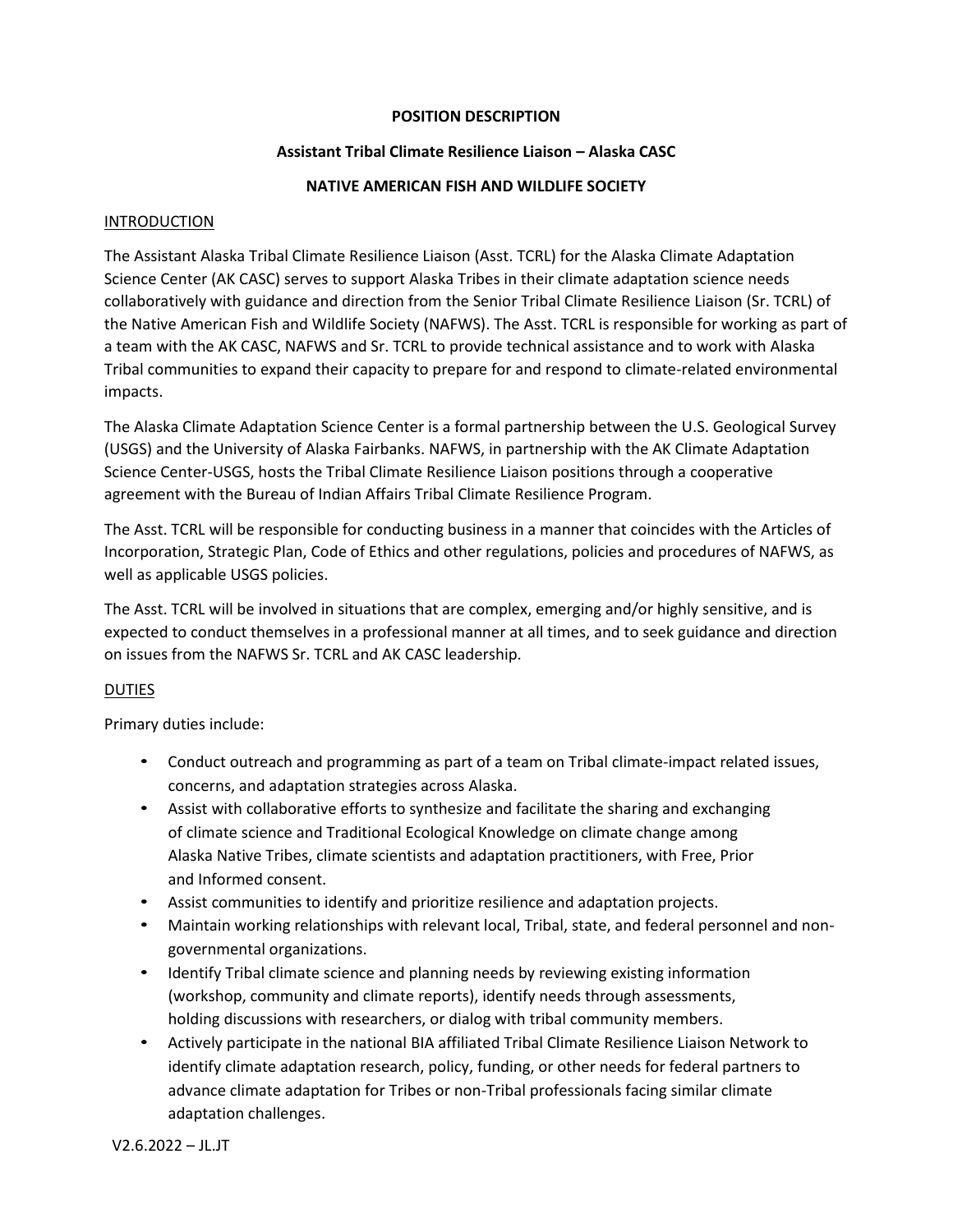# **POSITION DESCRIPTION**

## **Assistant Tribal Climate Resilience Liaison – Alaska CASC**

## **NATIVE AMERICAN FISH AND WILDLIFE SOCIETY**

## INTRODUCTION

The Assistant Alaska Tribal Climate Resilience Liaison (Asst. TCRL) for the Alaska Climate Adaptation Science Center (AK CASC) serves to support Alaska Tribes in their climate adaptation science needs collaboratively with guidance and direction from the Senior Tribal Climate Resilience Liaison (Sr. TCRL) of the Native American Fish and Wildlife Society (NAFWS). The Asst. TCRL is responsible for working as part of a team with the AK CASC, NAFWS and Sr. TCRL to provide technical assistance and to work with Alaska Tribal communities to expand their capacity to prepare for and respond to climate-related environmental impacts.

The Alaska Climate Adaptation Science Center is a formal partnership between the U.S. Geological Survey (USGS) and the University of Alaska Fairbanks. NAFWS, in partnership with the AK Climate Adaptation Science Center-USGS, hosts the Tribal Climate Resilience Liaison positions through a cooperative agreement with the Bureau of Indian Affairs Tribal Climate Resilience Program.

The Asst. TCRL will be responsible for conducting business in a manner that coincides with the Articles of Incorporation, Strategic Plan, Code of Ethics and other regulations, policies and procedures of NAFWS, as well as applicable USGS policies.

The Asst. TCRL will be involved in situations that are complex, emerging and/or highly sensitive, and is expected to conduct themselves in a professional manner at all times, and to seek guidance and direction on issues from the NAFWS Sr. TCRL and AK CASC leadership.

# DUTIES

Primary duties include:

- Conduct outreach and programming as part of a team on Tribal climate-impact related issues, concerns, and adaptation strategies across Alaska.
- Assist with collaborative efforts to synthesize and facilitate the sharing and exchanging of climate science and Traditional Ecological Knowledge on climate change among Alaska Native Tribes, climate scientists and adaptation practitioners, with Free, Prior and Informed consent.
- Assist communities to identify and prioritize resilience and adaptation projects.
- Maintain working relationships with relevant local, Tribal, state, and federal personnel and nongovernmental organizations.
- Identify Tribal climate science and planning needs by reviewing existing information (workshop, community and climate reports), identify needs through assessments, holding discussions with researchers, or dialog with tribal community members.
- Actively participate in the national BIA affiliated Tribal Climate Resilience Liaison Network to identify climate adaptation research, policy, funding, or other needs for federal partners to advance climate adaptation for Tribes or non-Tribal professionals facing similar climate adaptation challenges.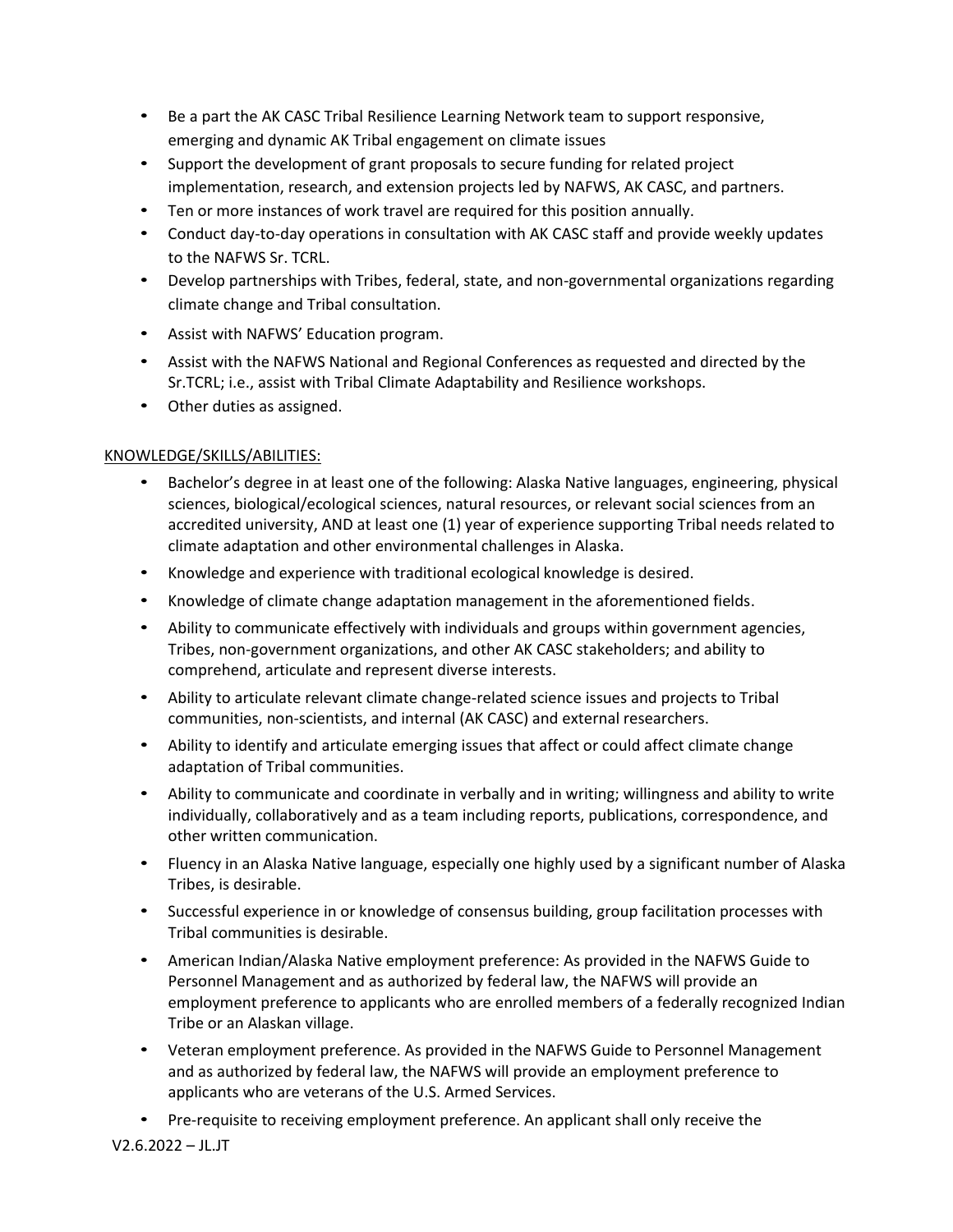- Be a part the AK CASC Tribal Resilience Learning Network team to support responsive, emerging and dynamic AK Tribal engagement on climate issues
- Support the development of grant proposals to secure funding for related project implementation, research, and extension projects led by NAFWS, AK CASC, and partners.
- Ten or more instances of work travel are required for this position annually.
- Conduct day-to-day operations in consultation with AK CASC staff and provide weekly updates to the NAFWS Sr. TCRL.
- Develop partnerships with Tribes, federal, state, and non-governmental organizations regarding climate change and Tribal consultation.
- Assist with NAFWS' Education program.
- Assist with the NAFWS National and Regional Conferences as requested and directed by the Sr.TCRL; i.e., assist with Tribal Climate Adaptability and Resilience workshops.
- Other duties as assigned.

# KNOWLEDGE/SKILLS/ABILITIES:

- Bachelor's degree in at least one of the following: Alaska Native languages, engineering, physical sciences, biological/ecological sciences, natural resources, or relevant social sciences from an accredited university, AND at least one (1) year of experience supporting Tribal needs related to climate adaptation and other environmental challenges in Alaska.
- Knowledge and experience with traditional ecological knowledge is desired.
- Knowledge of climate change adaptation management in the aforementioned fields.
- Ability to communicate effectively with individuals and groups within government agencies, Tribes, non-government organizations, and other AK CASC stakeholders; and ability to comprehend, articulate and represent diverse interests.
- Ability to articulate relevant climate change-related science issues and projects to Tribal communities, non-scientists, and internal (AK CASC) and external researchers.
- Ability to identify and articulate emerging issues that affect or could affect climate change adaptation of Tribal communities.
- Ability to communicate and coordinate in verbally and in writing; willingness and ability to write individually, collaboratively and as a team including reports, publications, correspondence, and other written communication.
- Fluency in an Alaska Native language, especially one highly used by a significant number of Alaska Tribes, is desirable.
- Successful experience in or knowledge of consensus building, group facilitation processes with Tribal communities is desirable.
- American Indian/Alaska Native employment preference: As provided in the NAFWS Guide to Personnel Management and as authorized by federal law, the NAFWS will provide an employment preference to applicants who are enrolled members of a federally recognized Indian Tribe or an Alaskan village.
- Veteran employment preference. As provided in the NAFWS Guide to Personnel Management and as authorized by federal law, the NAFWS will provide an employment preference to applicants who are veterans of the U.S. Armed Services.
- Pre-requisite to receiving employment preference. An applicant shall only receive the